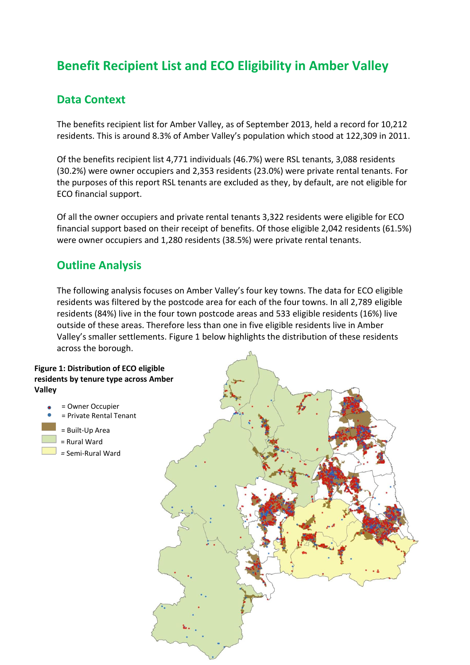# **Benefit Recipient List and ECO Eligibility in Amber Valley**

## **Data Context**

The benefits recipient list for Amber Valley, as of September 2013, held a record for 10,212 residents. This is around 8.3% of Amber Valley's population which stood at 122,309 in 2011.

Of the benefits recipient list 4,771 individuals (46.7%) were RSL tenants, 3,088 residents (30.2%) were owner occupiers and 2,353 residents (23.0%) were private rental tenants. For the purposes of this report RSL tenants are excluded as they, by default, are not eligible for ECO financial support.

Of all the owner occupiers and private rental tenants 3,322 residents were eligible for ECO financial support based on their receipt of benefits. Of those eligible 2,042 residents (61.5%) were owner occupiers and 1,280 residents (38.5%) were private rental tenants.

### **Outline Analysis**

The following analysis focuses on Amber Valley's four key towns. The data for ECO eligible residents was filtered by the postcode area for each of the four towns. In all 2,789 eligible residents (84%) live in the four town postcode areas and 533 eligible residents (16%) live outside of these areas. Therefore less than one in five eligible residents live in Amber Valley's smaller settlements. Figure 1 below highlights the distribution of these residents across the borough.

### **Figure 1: Distribution of ECO eligible residents by tenure type across Amber Valley**

- = Owner Occupier
- = Private Rental Tenant
- = Built-Up Area
- = Rural Ward
- *=* Semi-Rural Ward

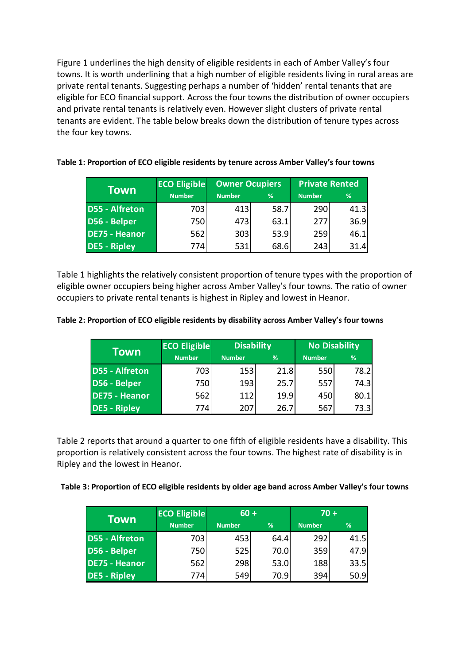Figure 1 underlines the high density of eligible residents in each of Amber Valley's four towns. It is worth underlining that a high number of eligible residents living in rural areas are private rental tenants. Suggesting perhaps a number of 'hidden' rental tenants that are eligible for ECO financial support. Across the four towns the distribution of owner occupiers and private rental tenants is relatively even. However slight clusters of private rental tenants are evident. The table below breaks down the distribution of tenure types across the four key towns.

| Town                  | <b>ECO Eligible</b> | <b>Owner Ocupiers</b> |      | <b>Private Rented</b> |      |
|-----------------------|---------------------|-----------------------|------|-----------------------|------|
|                       | <b>Number</b>       | <b>Number</b>         | %    | <b>Number</b>         | %    |
| <b>D55 - Alfreton</b> | 703                 | 413                   | 58.7 | 290                   | 41.3 |
| D56 - Belper          | 750                 | 473                   | 63.1 | 277                   | 36.9 |
| DE75 - Heanor         | 562                 | 303                   | 53.9 | 259                   | 46.1 |
| <b>DE5 - Ripley</b>   | 774                 | 531                   | 68.6 | 243                   | 31.4 |

#### **Table 1: Proportion of ECO eligible residents by tenure across Amber Valley's four towns**

Table 1 highlights the relatively consistent proportion of tenure types with the proportion of eligible owner occupiers being higher across Amber Valley's four towns. The ratio of owner occupiers to private rental tenants is highest in Ripley and lowest in Heanor.

#### **Table 2: Proportion of ECO eligible residents by disability across Amber Valley's four towns**

| Town                  | <b>ECO Eligible</b> | <b>Disability</b> |      | <b>No Disability</b> |      |
|-----------------------|---------------------|-------------------|------|----------------------|------|
|                       | <b>Number</b>       | <b>Number</b>     | %    | <b>Number</b>        | %    |
| <b>D55 - Alfreton</b> | 703                 | 153               | 21.8 | 550                  | 78.2 |
| D56 - Belper          | 750                 | 193               | 25.7 | 557                  | 74.3 |
| <b>DE75 - Heanor</b>  | 562                 | 112               | 19.9 | 450                  | 80.1 |
| <b>DE5 - Ripley</b>   | 774                 | 207               | 26.7 | 567                  | 73.3 |

Table 2 reports that around a quarter to one fifth of eligible residents have a disability. This proportion is relatively consistent across the four towns. The highest rate of disability is in Ripley and the lowest in Heanor.

| <b>Town</b>           | <b>ECO Eligible</b> | $60 +$        |      | $70 +$        |      |
|-----------------------|---------------------|---------------|------|---------------|------|
|                       | <b>Number</b>       | <b>Number</b> | %    | <b>Number</b> | %    |
| <b>D55 - Alfreton</b> | 703                 | 453           | 64.4 | 292           | 41.5 |
| D56 - Belper          | 750                 | 525           | 70.0 | 359           | 47.9 |
| <b>DE75 - Heanor</b>  | 562                 | 298           | 53.0 | 188           | 33.5 |
| <b>DE5 - Ripley</b>   | 774                 | 549           | 70.9 | 394           | 50.9 |